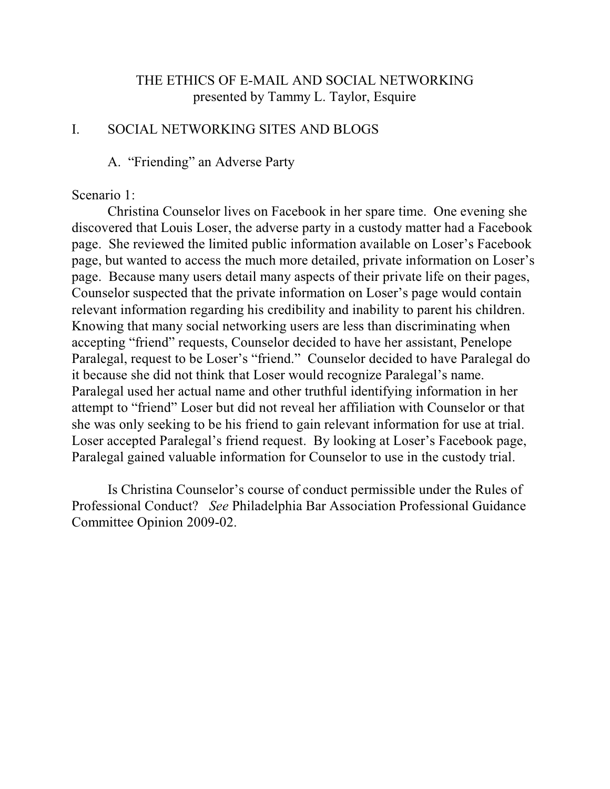# THE ETHICS OF E-MAIL AND SOCIAL NETWORKING presented by Tammy L. Taylor, Esquire

### I. SOCIAL NETWORKING SITES AND BLOGS

# A. "Friending" an Adverse Party

#### Scenario 1:

Christina Counselor lives on Facebook in her spare time. One evening she discovered that Louis Loser, the adverse party in a custody matter had a Facebook page. She reviewed the limited public information available on Loser's Facebook page, but wanted to access the much more detailed, private information on Loser's page. Because many users detail many aspects of their private life on their pages, Counselor suspected that the private information on Loser's page would contain relevant information regarding his credibility and inability to parent his children. Knowing that many social networking users are less than discriminating when accepting "friend" requests, Counselor decided to have her assistant, Penelope Paralegal, request to be Loser's "friend." Counselor decided to have Paralegal do it because she did not think that Loser would recognize Paralegal's name. Paralegal used her actual name and other truthful identifying information in her attempt to "friend" Loser but did not reveal her affiliation with Counselor or that she was only seeking to be his friend to gain relevant information for use at trial. Loser accepted Paralegal's friend request. By looking at Loser's Facebook page, Paralegal gained valuable information for Counselor to use in the custody trial.

Is Christina Counselor's course of conduct permissible under the Rules of Professional Conduct? *See* Philadelphia Bar Association Professional Guidance Committee Opinion 2009-02.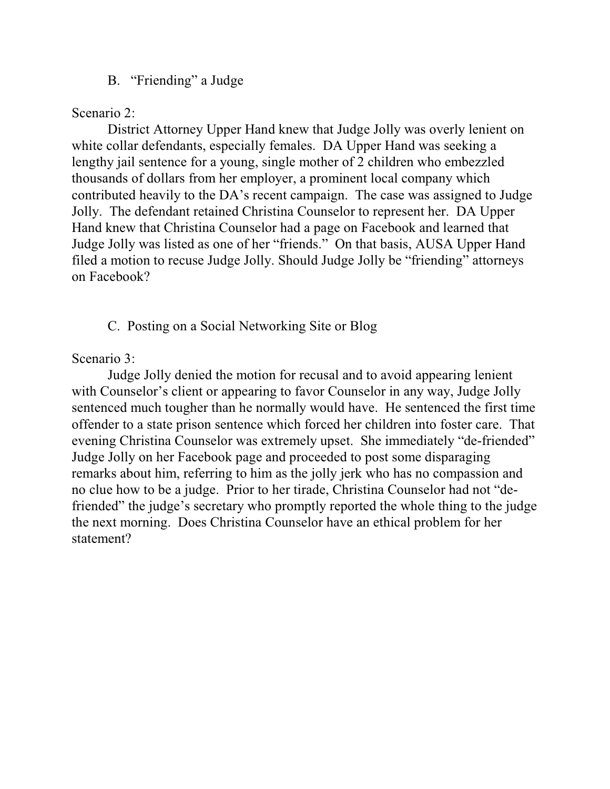# B. "Friending" a Judge

Scenario 2:

District Attorney Upper Hand knew that Judge Jolly was overly lenient on white collar defendants, especially females. DA Upper Hand was seeking a lengthy jail sentence for a young, single mother of 2 children who embezzled thousands of dollars from her employer, a prominent local company which contributed heavily to the DA's recent campaign. The case was assigned to Judge Jolly. The defendant retained Christina Counselor to represent her. DA Upper Hand knew that Christina Counselor had a page on Facebook and learned that Judge Jolly was listed as one of her "friends." On that basis, AUSA Upper Hand filed a motion to recuse Judge Jolly. Should Judge Jolly be "friending" attorneys on Facebook?

C. Posting on a Social Networking Site or Blog

Scenario 3:

Judge Jolly denied the motion for recusal and to avoid appearing lenient with Counselor's client or appearing to favor Counselor in any way, Judge Jolly sentenced much tougher than he normally would have. He sentenced the first time offender to a state prison sentence which forced her children into foster care. That evening Christina Counselor was extremely upset. She immediately "de-friended" Judge Jolly on her Facebook page and proceeded to post some disparaging remarks about him, referring to him as the jolly jerk who has no compassion and no clue how to be a judge. Prior to her tirade, Christina Counselor had not "defriended" the judge's secretary who promptly reported the whole thing to the judge the next morning. Does Christina Counselor have an ethical problem for her statement?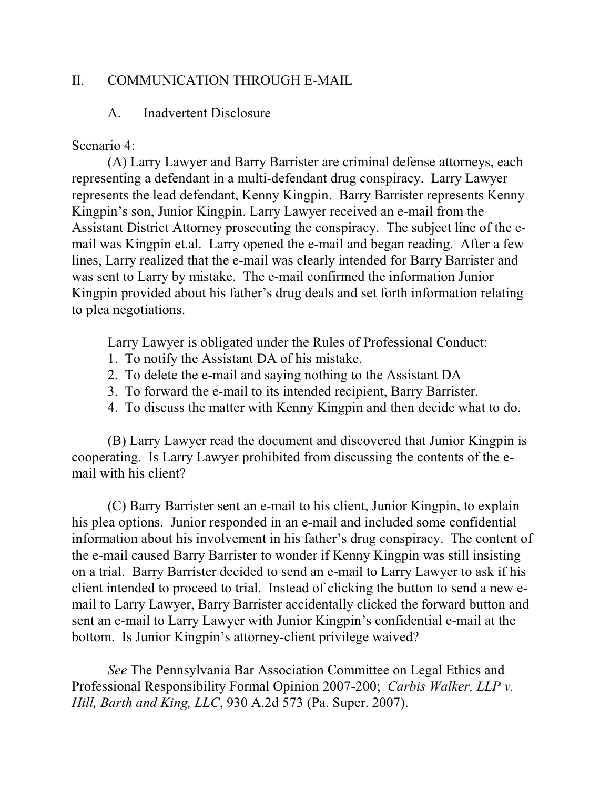# II. COMMUNICATION THROUGH E-MAIL

### A. Inadvertent Disclosure

Scenario 4:

(A) Larry Lawyer and Barry Barrister are criminal defense attorneys, each representing a defendant in a multi-defendant drug conspiracy. Larry Lawyer represents the lead defendant, Kenny Kingpin. Barry Barrister represents Kenny Kingpin's son, Junior Kingpin. Larry Lawyer received an e-mail from the Assistant District Attorney prosecuting the conspiracy. The subject line of the email was Kingpin et.al. Larry opened the e-mail and began reading. After a few lines, Larry realized that the e-mail was clearly intended for Barry Barrister and was sent to Larry by mistake. The e-mail confirmed the information Junior Kingpin provided about his father's drug deals and set forth information relating to plea negotiations.

Larry Lawyer is obligated under the Rules of Professional Conduct:

- 1. To notify the Assistant DA of his mistake.
- 2. To delete the e-mail and saying nothing to the Assistant DA
- 3. To forward the e-mail to its intended recipient, Barry Barrister.
- 4. To discuss the matter with Kenny Kingpin and then decide what to do.

(B) Larry Lawyer read the document and discovered that Junior Kingpin is cooperating. Is Larry Lawyer prohibited from discussing the contents of the email with his client?

(C) Barry Barrister sent an e-mail to his client, Junior Kingpin, to explain his plea options. Junior responded in an e-mail and included some confidential information about his involvement in his father's drug conspiracy. The content of the e-mail caused Barry Barrister to wonder if Kenny Kingpin was still insisting on a trial. Barry Barrister decided to send an e-mail to Larry Lawyer to ask if his client intended to proceed to trial. Instead of clicking the button to send a new email to Larry Lawyer, Barry Barrister accidentally clicked the forward button and sent an e-mail to Larry Lawyer with Junior Kingpin's confidential e-mail at the bottom. Is Junior Kingpin's attorney-client privilege waived?

*See* The Pennsylvania Bar Association Committee on Legal Ethics and Professional Responsibility Formal Opinion 2007-200; *Carbis Walker, LLP v. Hill, Barth and King, LLC*, 930 A.2d 573 (Pa. Super. 2007).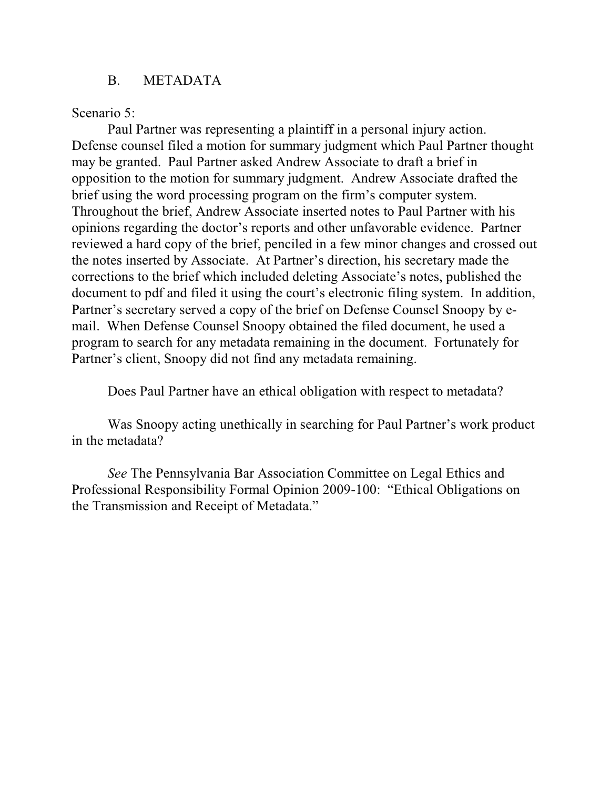# B. METADATA

Scenario 5:

Paul Partner was representing a plaintiff in a personal injury action. Defense counsel filed a motion for summary judgment which Paul Partner thought may be granted. Paul Partner asked Andrew Associate to draft a brief in opposition to the motion for summary judgment. Andrew Associate drafted the brief using the word processing program on the firm's computer system. Throughout the brief, Andrew Associate inserted notes to Paul Partner with his opinions regarding the doctor's reports and other unfavorable evidence. Partner reviewed a hard copy of the brief, penciled in a few minor changes and crossed out the notes inserted by Associate. At Partner's direction, his secretary made the corrections to the brief which included deleting Associate's notes, published the document to pdf and filed it using the court's electronic filing system. In addition, Partner's secretary served a copy of the brief on Defense Counsel Snoopy by email. When Defense Counsel Snoopy obtained the filed document, he used a program to search for any metadata remaining in the document. Fortunately for Partner's client, Snoopy did not find any metadata remaining.

Does Paul Partner have an ethical obligation with respect to metadata?

Was Snoopy acting unethically in searching for Paul Partner's work product in the metadata?

*See* The Pennsylvania Bar Association Committee on Legal Ethics and Professional Responsibility Formal Opinion 2009-100: "Ethical Obligations on the Transmission and Receipt of Metadata."